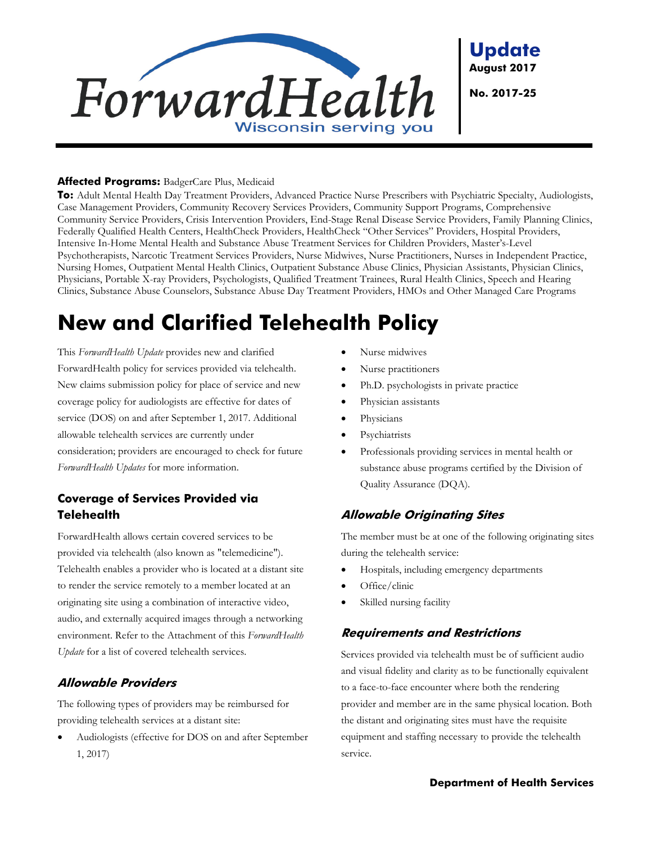

**Update August 2017**

**No. 2017-25**

#### **Affected Programs:** BadgerCare Plus, Medicaid

**To:** Adult Mental Health Day Treatment Providers, Advanced Practice Nurse Prescribers with Psychiatric Specialty, Audiologists, Case Management Providers, Community Recovery Services Providers, Community Support Programs, Comprehensive Community Service Providers, Crisis Intervention Providers, End-Stage Renal Disease Service Providers, Family Planning Clinics, Federally Qualified Health Centers, HealthCheck Providers, HealthCheck "Other Services" Providers, Hospital Providers, Intensive In-Home Mental Health and Substance Abuse Treatment Services for Children Providers, Master's-Level Psychotherapists, Narcotic Treatment Services Providers, Nurse Midwives, Nurse Practitioners, Nurses in Independent Practice, Nursing Homes, Outpatient Mental Health Clinics, Outpatient Substance Abuse Clinics, Physician Assistants, Physician Clinics, Physicians, Portable X-ray Providers, Psychologists, Qualified Treatment Trainees, Rural Health Clinics, Speech and Hearing Clinics, Substance Abuse Counselors, Substance Abuse Day Treatment Providers, HMOs and Other Managed Care Programs

# **New and Clarified Telehealth Policy**

This *ForwardHealth Update* provides new and clarified ForwardHealth policy for services provided via telehealth. New claims submission policy for place of service and new coverage policy for audiologists are effective for dates of service (DOS) on and after September 1, 2017. Additional allowable telehealth services are currently under consideration; providers are encouraged to check for future *ForwardHealth Updates* for more information.

## **Coverage of Services Provided via Telehealth**

ForwardHealth allows certain covered services to be provided via telehealth (also known as "telemedicine"). Telehealth enables a provider who is located at a distant site to render the service remotely to a member located at an originating site using a combination of interactive video, audio, and externally acquired images through a networking environment. Refer to the Attachment of this *ForwardHealth Update* for a list of covered telehealth services.

## **Allowable Providers**

The following types of providers may be reimbursed for providing telehealth services at a distant site:

• Audiologists (effective for DOS on and after September 1, 2017)

- Nurse midwives
- Nurse practitioners
- Ph.D. psychologists in private practice
- Physician assistants
- **Physicians**
- **Psychiatrists**
- Professionals providing services in mental health or substance abuse programs certified by the Division of Quality Assurance (DQA).

### **Allowable Originating Sites**

The member must be at one of the following originating sites during the telehealth service:

- Hospitals, including emergency departments
- Office/clinic
- Skilled nursing facility

#### **Requirements and Restrictions**

Services provided via telehealth must be of sufficient audio and visual fidelity and clarity as to be functionally equivalent to a face-to-face encounter where both the rendering provider and member are in the same physical location. Both the distant and originating sites must have the requisite equipment and staffing necessary to provide the telehealth service.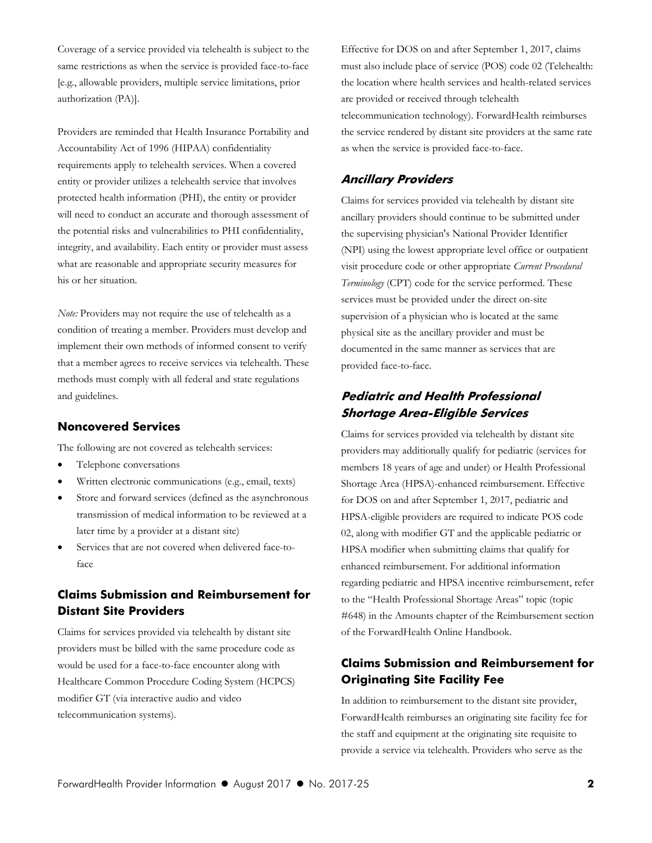Coverage of a service provided via telehealth is subject to the same restrictions as when the service is provided face-to-face [e.g., allowable providers, multiple service limitations, prior authorization (PA)].

Providers are reminded that Health Insurance Portability and Accountability Act of 1996 (HIPAA) confidentiality requirements apply to telehealth services. When a covered entity or provider utilizes a telehealth service that involves protected health information (PHI), the entity or provider will need to conduct an accurate and thorough assessment of the potential risks and vulnerabilities to PHI confidentiality, integrity, and availability. Each entity or provider must assess what are reasonable and appropriate security measures for his or her situation.

*Note:* Providers may not require the use of telehealth as a condition of treating a member. Providers must develop and implement their own methods of informed consent to verify that a member agrees to receive services via telehealth. These methods must comply with all federal and state regulations and guidelines.

#### **Noncovered Services**

The following are not covered as telehealth services:

- Telephone conversations
- Written electronic communications (e.g., email, texts)
- Store and forward services (defined as the asynchronous transmission of medical information to be reviewed at a later time by a provider at a distant site)
- Services that are not covered when delivered face-toface

## **Claims Submission and Reimbursement for Distant Site Providers**

Claims for services provided via telehealth by distant site providers must be billed with the same procedure code as would be used for a face-to-face encounter along with Healthcare Common Procedure Coding System (HCPCS) modifier GT (via interactive audio and video telecommunication systems).

Effective for DOS on and after September 1, 2017, claims must also include place of service (POS) code 02 (Telehealth: the location where health services and health-related services are provided or received through telehealth telecommunication technology). ForwardHealth reimburses the service rendered by distant site providers at the same rate as when the service is provided face-to-face.

#### **Ancillary Providers**

Claims for services provided via telehealth by distant site ancillary providers should continue to be submitted under the supervising physician's National Provider Identifier (NPI) using the lowest appropriate level office or outpatient visit procedure code or other appropriate *Current Procedural Terminology* (CPT) code for the service performed. These services must be provided under the direct on-site supervision of a physician who is located at the same physical site as the ancillary provider and must be documented in the same manner as services that are provided face-to-face.

## **Pediatric and Health Professional Shortage Area-Eligible Services**

Claims for services provided via telehealth by distant site providers may additionally qualify for pediatric (services for members 18 years of age and under) or Health Professional Shortage Area (HPSA)-enhanced reimbursement. Effective for DOS on and after September 1, 2017, pediatric and HPSA-eligible providers are required to indicate POS code 02, along with modifier GT and the applicable pediatric or HPSA modifier when submitting claims that qualify for enhanced reimbursement. For additional information regarding pediatric and HPSA incentive reimbursement, refer to the "Health Professional Shortage Areas" topic (topic #648) in the Amounts chapter of the Reimbursement section of the ForwardHealth Online Handbook.

## **Claims Submission and Reimbursement for Originating Site Facility Fee**

In addition to reimbursement to the distant site provider, ForwardHealth reimburses an originating site facility fee for the staff and equipment at the originating site requisite to provide a service via telehealth. Providers who serve as the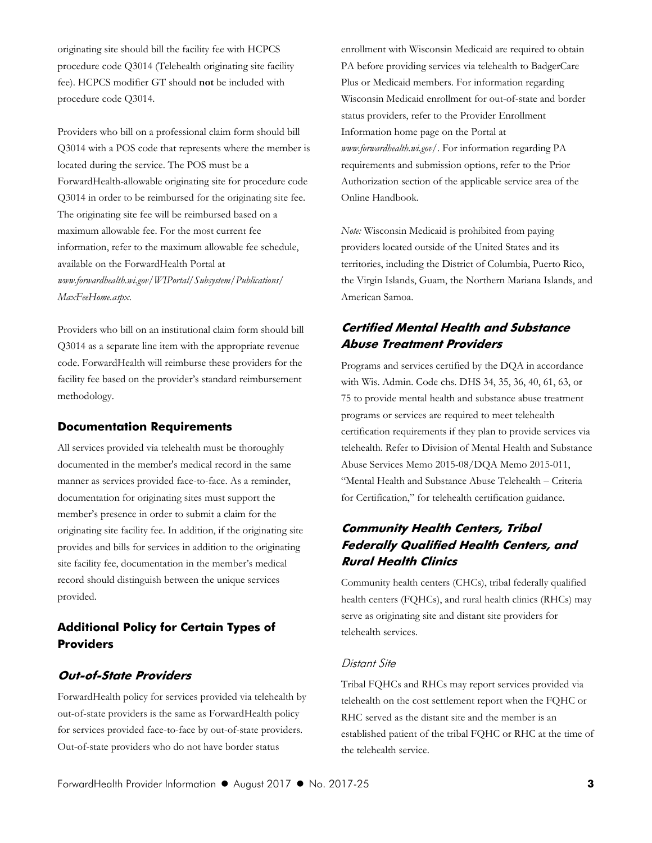originating site should bill the facility fee with HCPCS procedure code Q3014 (Telehealth originating site facility fee). HCPCS modifier GT should **not** be included with procedure code Q3014.

Providers who bill on a professional claim form should bill Q3014 with a POS code that represents where the member is located during the service. The POS must be a ForwardHealth-allowable originating site for procedure code Q3014 in order to be reimbursed for the originating site fee. The originating site fee will be reimbursed based on a maximum allowable fee. For the most current fee information, refer to the maximum allowable fee schedule, available on the ForwardHealth Portal at *www.forwardhealth.wi.gov/WIPortal/Subsystem/Publications/ MaxFeeHome.aspx*.

Providers who bill on an institutional claim form should bill Q3014 as a separate line item with the appropriate revenue code. ForwardHealth will reimburse these providers for the facility fee based on the provider's standard reimbursement methodology.

#### **Documentation Requirements**

All services provided via telehealth must be thoroughly documented in the member's medical record in the same manner as services provided face-to-face. As a reminder, documentation for originating sites must support the member's presence in order to submit a claim for the originating site facility fee. In addition, if the originating site provides and bills for services in addition to the originating site facility fee, documentation in the member's medical record should distinguish between the unique services provided.

## **Additional Policy for Certain Types of Providers**

#### **Out-of-State Providers**

ForwardHealth policy for services provided via telehealth by out-of-state providers is the same as ForwardHealth policy for services provided face-to-face by out-of-state providers. Out-of-state providers who do not have border status

enrollment with Wisconsin Medicaid are required to obtain PA before providing services via telehealth to BadgerCare Plus or Medicaid members. For information regarding Wisconsin Medicaid enrollment for out-of-state and border status providers, refer to the Provider Enrollment Information home page on the Portal at *www.forwardhealth.wi.gov/*. For information regarding PA requirements and submission options, refer to the Prior Authorization section of the applicable service area of the Online Handbook.

*Note:* Wisconsin Medicaid is prohibited from paying providers located outside of the United States and its territories, including the District of Columbia, Puerto Rico, the Virgin Islands, Guam, the Northern Mariana Islands, and American Samoa.

## **Certified Mental Health and Substance Abuse Treatment Providers**

Programs and services certified by the DQA in accordance with Wis. Admin. Code chs. DHS 34, 35, 36, 40, 61, 63, or 75 to provide mental health and substance abuse treatment programs or services are required to meet telehealth certification requirements if they plan to provide services via telehealth. Refer to Division of Mental Health and Substance Abuse Services Memo 2015-08/DQA Memo 2015-011, "Mental Health and Substance Abuse Telehealth – Criteria for Certification," for telehealth certification guidance.

### **Community Health Centers, Tribal Federally Qualified Health Centers, and Rural Health Clinics**

Community health centers (CHCs), tribal federally qualified health centers (FQHCs), and rural health clinics (RHCs) may serve as originating site and distant site providers for telehealth services.

#### Distant Site

Tribal FQHCs and RHCs may report services provided via telehealth on the cost settlement report when the FQHC or RHC served as the distant site and the member is an established patient of the tribal FQHC or RHC at the time of the telehealth service.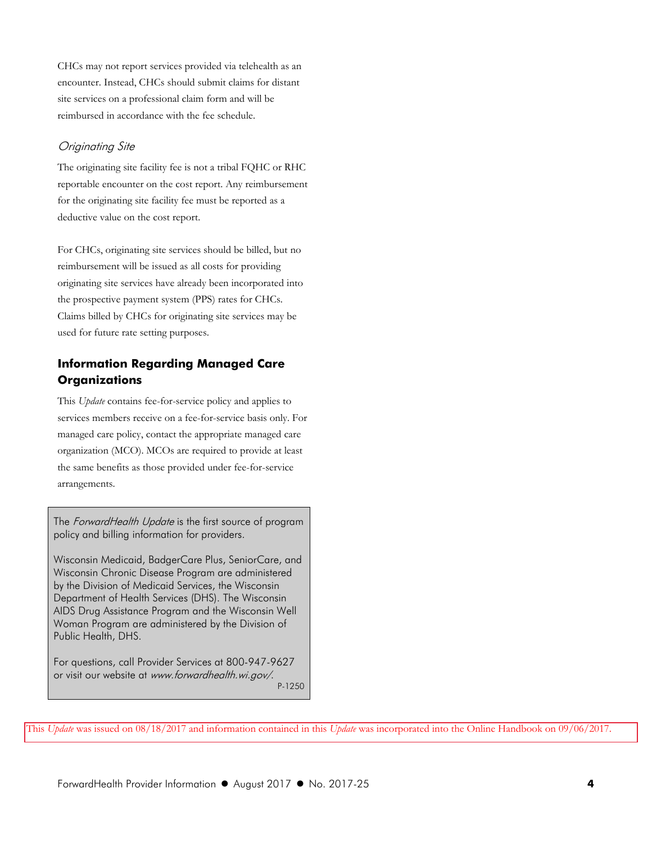CHCs may not report services provided via telehealth as an encounter. Instead, CHCs should submit claims for distant site services on a professional claim form and will be reimbursed in accordance with the fee schedule.

#### Originating Site

The originating site facility fee is not a tribal FQHC or RHC reportable encounter on the cost report. Any reimbursement for the originating site facility fee must be reported as a deductive value on the cost report.

For CHCs, originating site services should be billed, but no reimbursement will be issued as all costs for providing originating site services have already been incorporated into the prospective payment system (PPS) rates for CHCs. Claims billed by CHCs for originating site services may be used for future rate setting purposes.

## **Information Regarding Managed Care Organizations**

This *Update* contains fee-for-service policy and applies to services members receive on a fee-for-service basis only. For managed care policy, contact the appropriate managed care organization (MCO). MCOs are required to provide at least the same benefits as those provided under fee-for-service arrangements.

The ForwardHealth Update is the first source of program policy and billing information for providers.

Wisconsin Medicaid, BadgerCare Plus, SeniorCare, and Wisconsin Chronic Disease Program are administered by the Division of Medicaid Services, the Wisconsin Department of Health Services (DHS). The Wisconsin AIDS Drug Assistance Program and the Wisconsin Well Woman Program are administered by the Division of Public Health, DHS.

For questions, call Provider Services at 800-947-9627 or visit our website at www.forwardhealth.wi.gov/. P-1250

This *Update* was issued on 08/18/2017 and information contained in this *Update* was incorporated into the Online Handbook on 09/06/2017.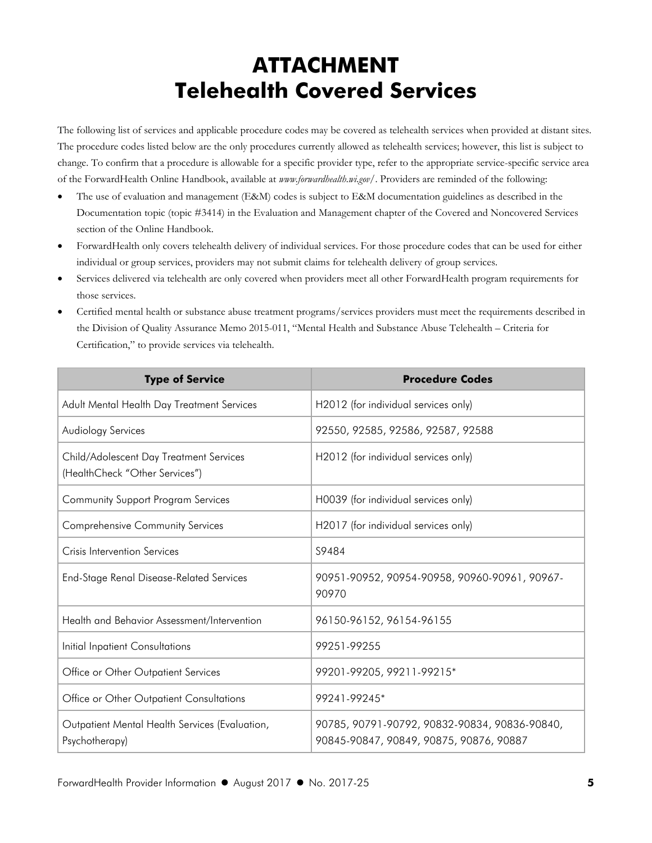# **ATTACHMENT Telehealth Covered Services**

The following list of services and applicable procedure codes may be covered as telehealth services when provided at distant sites. The procedure codes listed below are the only procedures currently allowed as telehealth services; however, this list is subject to change. To confirm that a procedure is allowable for a specific provider type, refer to the appropriate service-specific service area of the ForwardHealth Online Handbook, available at *www.forwardhealth.wi.gov/*. Providers are reminded of the following:

- The use of evaluation and management (E&M) codes is subject to E&M documentation guidelines as described in the Documentation topic (topic #3414) in the Evaluation and Management chapter of the Covered and Noncovered Services section of the Online Handbook.
- ForwardHealth only covers telehealth delivery of individual services. For those procedure codes that can be used for either individual or group services, providers may not submit claims for telehealth delivery of group services.
- Services delivered via telehealth are only covered when providers meet all other ForwardHealth program requirements for those services.
- Certified mental health or substance abuse treatment programs/services providers must meet the requirements described in the Division of Quality Assurance Memo 2015-011, "Mental Health and Substance Abuse Telehealth – Criteria for Certification," to provide services via telehealth.

| <b>Type of Service</b>                                                    | <b>Procedure Codes</b>                                                                   |
|---------------------------------------------------------------------------|------------------------------------------------------------------------------------------|
| Adult Mental Health Day Treatment Services                                | H2012 (for individual services only)                                                     |
| Audiology Services                                                        | 92550, 92585, 92586, 92587, 92588                                                        |
| Child/Adolescent Day Treatment Services<br>(HealthCheck "Other Services") | H2012 (for individual services only)                                                     |
| <b>Community Support Program Services</b>                                 | H0039 (for individual services only)                                                     |
| <b>Comprehensive Community Services</b>                                   | H2017 (for individual services only)                                                     |
| Crisis Intervention Services                                              | S9484                                                                                    |
| <b>End-Stage Renal Disease-Related Services</b>                           | 90951-90952, 90954-90958, 90960-90961, 90967-<br>90970                                   |
| Health and Behavior Assessment/Intervention                               | 96150-96152, 96154-96155                                                                 |
| Initial Inpatient Consultations                                           | 99251-99255                                                                              |
| Office or Other Outpatient Services                                       | 99201-99205, 99211-99215*                                                                |
| Office or Other Outpatient Consultations                                  | 99241-99245*                                                                             |
| Outpatient Mental Health Services (Evaluation,<br>Psychotherapy)          | 90785, 90791-90792, 90832-90834, 90836-90840,<br>90845-90847, 90849, 90875, 90876, 90887 |